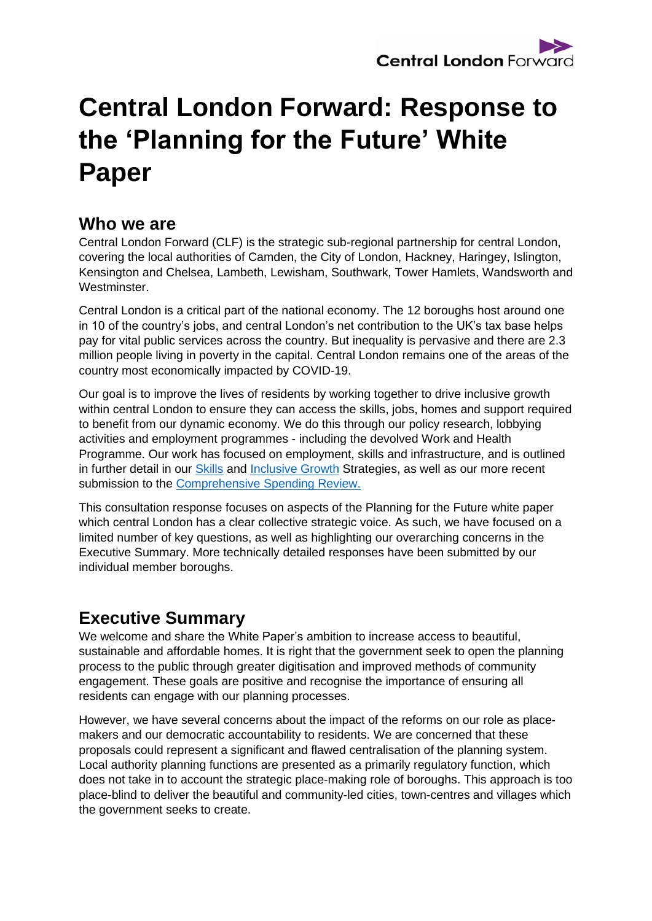# **Central London Forward: Response to the 'Planning for the Future' White Paper**

# **Who we are**

Central London Forward (CLF) is the strategic sub-regional partnership for central London, covering the local authorities of Camden, the City of London, Hackney, Haringey, Islington, Kensington and Chelsea, Lambeth, Lewisham, Southwark, Tower Hamlets, Wandsworth and Westminster.

Central London is a critical part of the national economy. The 12 boroughs host around one in 10 of the country's jobs, and central London's net contribution to the UK's tax base helps pay for vital public services across the country. But inequality is pervasive and there are 2.3 million people living in poverty in the capital. Central London remains one of the areas of the country most economically impacted by COVID-19.

Our goal is to improve the lives of residents by working together to drive inclusive growth within central London to ensure they can access the skills, jobs, homes and support required to benefit from our dynamic economy. We do this through our policy research, lobbying activities and employment programmes - including the devolved Work and Health Programme. Our work has focused on employment, skills and infrastructure, and is outlined in further detail in our [Skills](http://centrallondonforward.gov.uk/wp-content/uploads/2019/06/CLFJ6952-Skills-strategy-190723-WEB.pdf) and [Inclusive Growth](http://centrallondonforward.gov.uk/wp-content/uploads/2019/08/CLFJ6952-IGS-text-190802-WEB2.pdf) Strategies, as well as our more recent submission to the [Comprehensive Spending Review.](https://centrallondonforward.gov.uk/wp-content/uploads/2020/09/Central-London-Forward-CSR-2020-FINAL.pdf)

This consultation response focuses on aspects of the Planning for the Future white paper which central London has a clear collective strategic voice. As such, we have focused on a limited number of key questions, as well as highlighting our overarching concerns in the Executive Summary. More technically detailed responses have been submitted by our individual member boroughs.

# **Executive Summary**

We welcome and share the White Paper's ambition to increase access to beautiful, sustainable and affordable homes. It is right that the government seek to open the planning process to the public through greater digitisation and improved methods of community engagement. These goals are positive and recognise the importance of ensuring all residents can engage with our planning processes.

However, we have several concerns about the impact of the reforms on our role as placemakers and our democratic accountability to residents. We are concerned that these proposals could represent a significant and flawed centralisation of the planning system. Local authority planning functions are presented as a primarily regulatory function, which does not take in to account the strategic place-making role of boroughs. This approach is too place-blind to deliver the beautiful and community-led cities, town-centres and villages which the government seeks to create.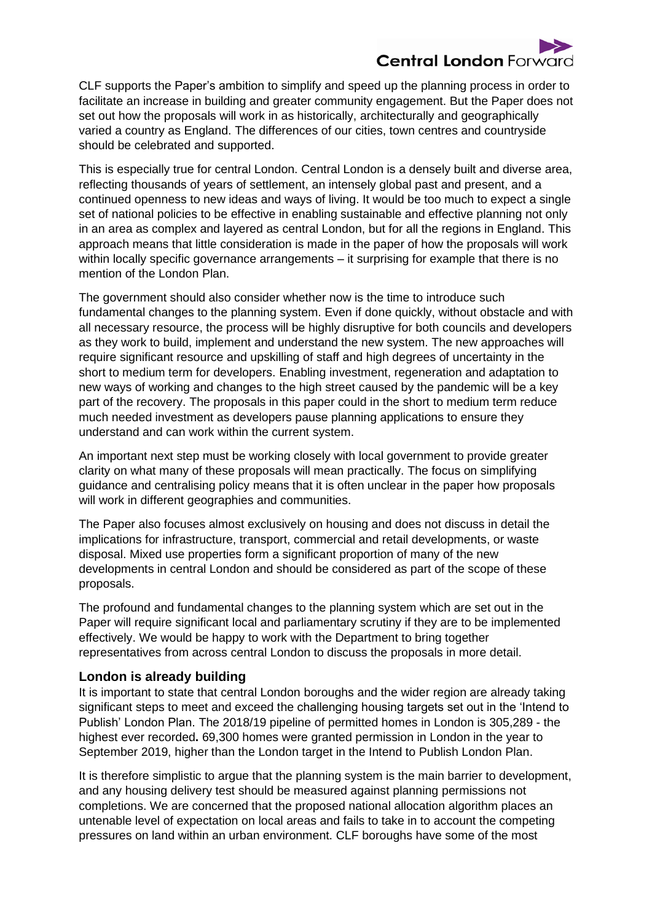

CLF supports the Paper's ambition to simplify and speed up the planning process in order to facilitate an increase in building and greater community engagement. But the Paper does not set out how the proposals will work in as historically, architecturally and geographically varied a country as England. The differences of our cities, town centres and countryside should be celebrated and supported.

This is especially true for central London. Central London is a densely built and diverse area, reflecting thousands of years of settlement, an intensely global past and present, and a continued openness to new ideas and ways of living. It would be too much to expect a single set of national policies to be effective in enabling sustainable and effective planning not only in an area as complex and layered as central London, but for all the regions in England. This approach means that little consideration is made in the paper of how the proposals will work within locally specific governance arrangements – it surprising for example that there is no mention of the London Plan.

The government should also consider whether now is the time to introduce such fundamental changes to the planning system. Even if done quickly, without obstacle and with all necessary resource, the process will be highly disruptive for both councils and developers as they work to build, implement and understand the new system. The new approaches will require significant resource and upskilling of staff and high degrees of uncertainty in the short to medium term for developers. Enabling investment, regeneration and adaptation to new ways of working and changes to the high street caused by the pandemic will be a key part of the recovery. The proposals in this paper could in the short to medium term reduce much needed investment as developers pause planning applications to ensure they understand and can work within the current system.

An important next step must be working closely with local government to provide greater clarity on what many of these proposals will mean practically. The focus on simplifying guidance and centralising policy means that it is often unclear in the paper how proposals will work in different geographies and communities.

The Paper also focuses almost exclusively on housing and does not discuss in detail the implications for infrastructure, transport, commercial and retail developments, or waste disposal. Mixed use properties form a significant proportion of many of the new developments in central London and should be considered as part of the scope of these proposals.

The profound and fundamental changes to the planning system which are set out in the Paper will require significant local and parliamentary scrutiny if they are to be implemented effectively. We would be happy to work with the Department to bring together representatives from across central London to discuss the proposals in more detail.

#### **London is already building**

It is important to state that central London boroughs and the wider region are already taking significant steps to meet and exceed the challenging housing targets set out in the 'Intend to Publish' London Plan. The 2018/19 pipeline of permitted homes in London is 305,289 - the highest ever recorded**.** 69,300 homes were granted permission in London in the year to September 2019, higher than the London target in the Intend to Publish London Plan.

It is therefore simplistic to argue that the planning system is the main barrier to development, and any housing delivery test should be measured against planning permissions not completions. We are concerned that the proposed national allocation algorithm places an untenable level of expectation on local areas and fails to take in to account the competing pressures on land within an urban environment. CLF boroughs have some of the most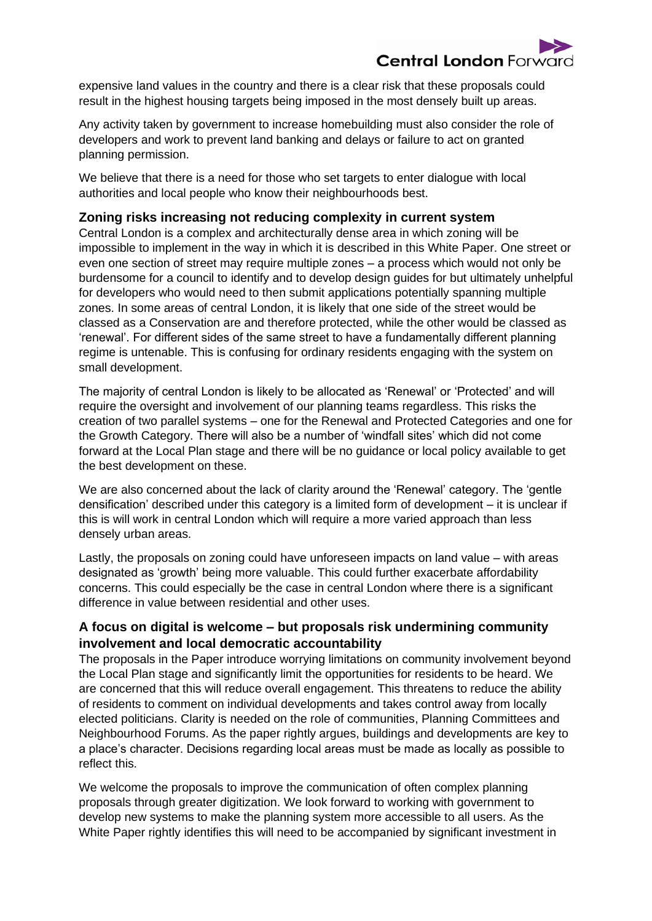

expensive land values in the country and there is a clear risk that these proposals could result in the highest housing targets being imposed in the most densely built up areas.

Any activity taken by government to increase homebuilding must also consider the role of developers and work to prevent land banking and delays or failure to act on granted planning permission.

We believe that there is a need for those who set targets to enter dialogue with local authorities and local people who know their neighbourhoods best.

#### **Zoning risks increasing not reducing complexity in current system**

Central London is a complex and architecturally dense area in which zoning will be impossible to implement in the way in which it is described in this White Paper. One street or even one section of street may require multiple zones – a process which would not only be burdensome for a council to identify and to develop design guides for but ultimately unhelpful for developers who would need to then submit applications potentially spanning multiple zones. In some areas of central London, it is likely that one side of the street would be classed as a Conservation are and therefore protected, while the other would be classed as 'renewal'. For different sides of the same street to have a fundamentally different planning regime is untenable. This is confusing for ordinary residents engaging with the system on small development.

The majority of central London is likely to be allocated as 'Renewal' or 'Protected' and will require the oversight and involvement of our planning teams regardless. This risks the creation of two parallel systems – one for the Renewal and Protected Categories and one for the Growth Category. There will also be a number of 'windfall sites' which did not come forward at the Local Plan stage and there will be no guidance or local policy available to get the best development on these.

We are also concerned about the lack of clarity around the 'Renewal' category. The 'gentle densification' described under this category is a limited form of development – it is unclear if this is will work in central London which will require a more varied approach than less densely urban areas.

Lastly, the proposals on zoning could have unforeseen impacts on land value – with areas designated as 'growth' being more valuable. This could further exacerbate affordability concerns. This could especially be the case in central London where there is a significant difference in value between residential and other uses.

## **A focus on digital is welcome – but proposals risk undermining community involvement and local democratic accountability**

The proposals in the Paper introduce worrying limitations on community involvement beyond the Local Plan stage and significantly limit the opportunities for residents to be heard. We are concerned that this will reduce overall engagement. This threatens to reduce the ability of residents to comment on individual developments and takes control away from locally elected politicians. Clarity is needed on the role of communities, Planning Committees and Neighbourhood Forums. As the paper rightly argues, buildings and developments are key to a place's character. Decisions regarding local areas must be made as locally as possible to reflect this.

We welcome the proposals to improve the communication of often complex planning proposals through greater digitization. We look forward to working with government to develop new systems to make the planning system more accessible to all users. As the White Paper rightly identifies this will need to be accompanied by significant investment in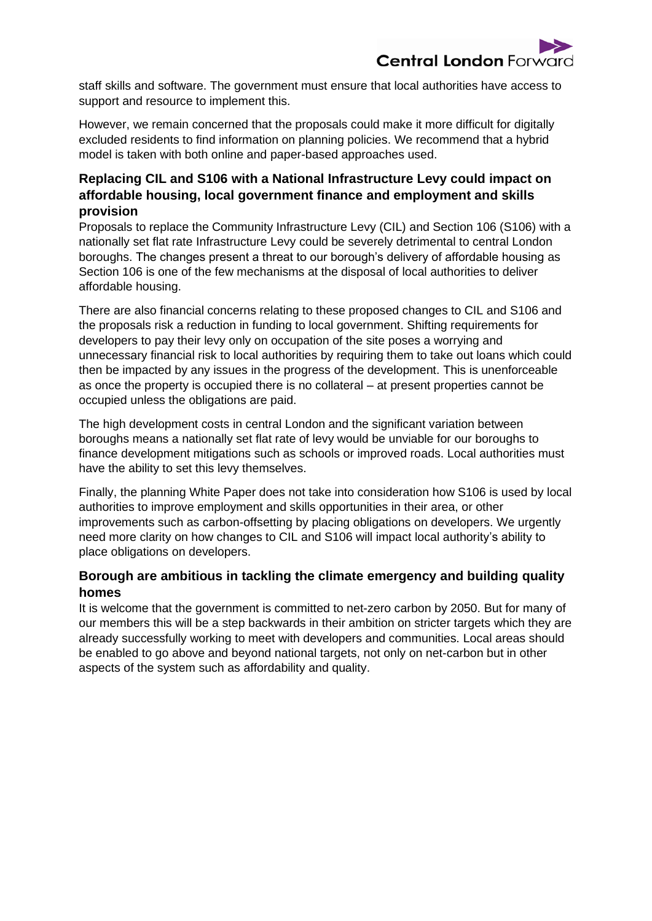

staff skills and software. The government must ensure that local authorities have access to support and resource to implement this.

However, we remain concerned that the proposals could make it more difficult for digitally excluded residents to find information on planning policies. We recommend that a hybrid model is taken with both online and paper-based approaches used.

## **Replacing CIL and S106 with a National Infrastructure Levy could impact on affordable housing, local government finance and employment and skills provision**

Proposals to replace the Community Infrastructure Levy (CIL) and Section 106 (S106) with a nationally set flat rate Infrastructure Levy could be severely detrimental to central London boroughs. The changes present a threat to our borough's delivery of affordable housing as Section 106 is one of the few mechanisms at the disposal of local authorities to deliver affordable housing.

There are also financial concerns relating to these proposed changes to CIL and S106 and the proposals risk a reduction in funding to local government. Shifting requirements for developers to pay their levy only on occupation of the site poses a worrying and unnecessary financial risk to local authorities by requiring them to take out loans which could then be impacted by any issues in the progress of the development. This is unenforceable as once the property is occupied there is no collateral – at present properties cannot be occupied unless the obligations are paid.

The high development costs in central London and the significant variation between boroughs means a nationally set flat rate of levy would be unviable for our boroughs to finance development mitigations such as schools or improved roads. Local authorities must have the ability to set this levy themselves.

Finally, the planning White Paper does not take into consideration how S106 is used by local authorities to improve employment and skills opportunities in their area, or other improvements such as carbon-offsetting by placing obligations on developers. We urgently need more clarity on how changes to CIL and S106 will impact local authority's ability to place obligations on developers.

## **Borough are ambitious in tackling the climate emergency and building quality homes**

It is welcome that the government is committed to net-zero carbon by 2050. But for many of our members this will be a step backwards in their ambition on stricter targets which they are already successfully working to meet with developers and communities. Local areas should be enabled to go above and beyond national targets, not only on net-carbon but in other aspects of the system such as affordability and quality.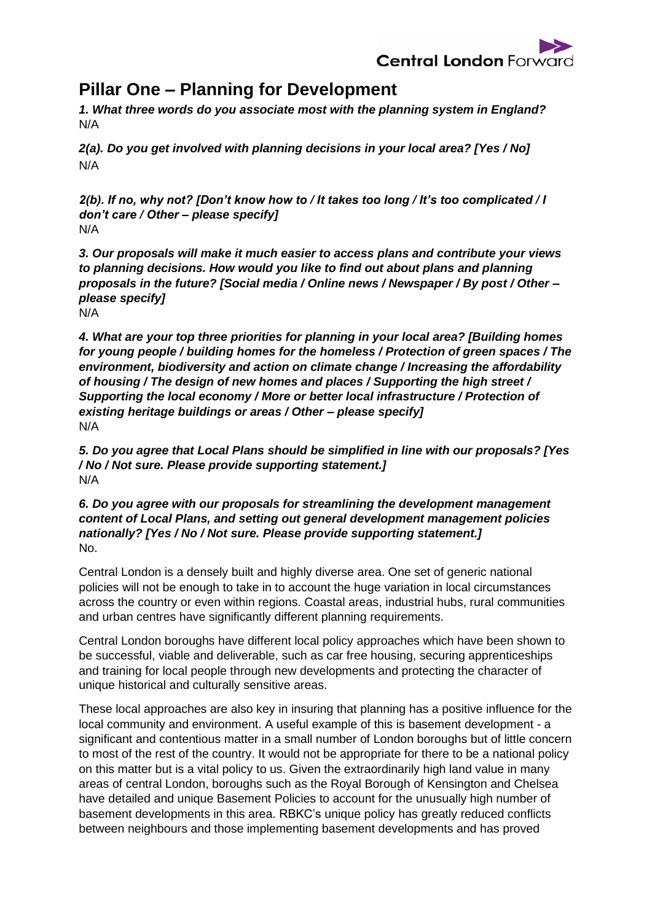

# **Pillar One – Planning for Development**

*1. What three words do you associate most with the planning system in England?*  N/A

*2(a). Do you get involved with planning decisions in your local area? [Yes / No]*  N/A

*2(b). If no, why not? [Don't know how to / It takes too long / It's too complicated / I don't care / Other – please specify]*  N/A

*3. Our proposals will make it much easier to access plans and contribute your views to planning decisions. How would you like to find out about plans and planning proposals in the future? [Social media / Online news / Newspaper / By post / Other – please specify]* 

N/A

*4. What are your top three priorities for planning in your local area? [Building homes for young people / building homes for the homeless / Protection of green spaces / The environment, biodiversity and action on climate change / Increasing the affordability of housing / The design of new homes and places / Supporting the high street / Supporting the local economy / More or better local infrastructure / Protection of existing heritage buildings or areas / Other – please specify]* N/A

*5. Do you agree that Local Plans should be simplified in line with our proposals? [Yes / No / Not sure. Please provide supporting statement.]* N/A

*6. Do you agree with our proposals for streamlining the development management content of Local Plans, and setting out general development management policies nationally? [Yes / No / Not sure. Please provide supporting statement.]* No.

Central London is a densely built and highly diverse area. One set of generic national policies will not be enough to take in to account the huge variation in local circumstances across the country or even within regions. Coastal areas, industrial hubs, rural communities and urban centres have significantly different planning requirements.

Central London boroughs have different local policy approaches which have been shown to be successful, viable and deliverable, such as car free housing, securing apprenticeships and training for local people through new developments and protecting the character of unique historical and culturally sensitive areas.

These local approaches are also key in insuring that planning has a positive influence for the local community and environment. A useful example of this is basement development - a significant and contentious matter in a small number of London boroughs but of little concern to most of the rest of the country. It would not be appropriate for there to be a national policy on this matter but is a vital policy to us. Given the extraordinarily high land value in many areas of central London, boroughs such as the Royal Borough of Kensington and Chelsea have detailed and unique Basement Policies to account for the unusually high number of basement developments in this area. RBKC's unique policy has greatly reduced conflicts between neighbours and those implementing basement developments and has proved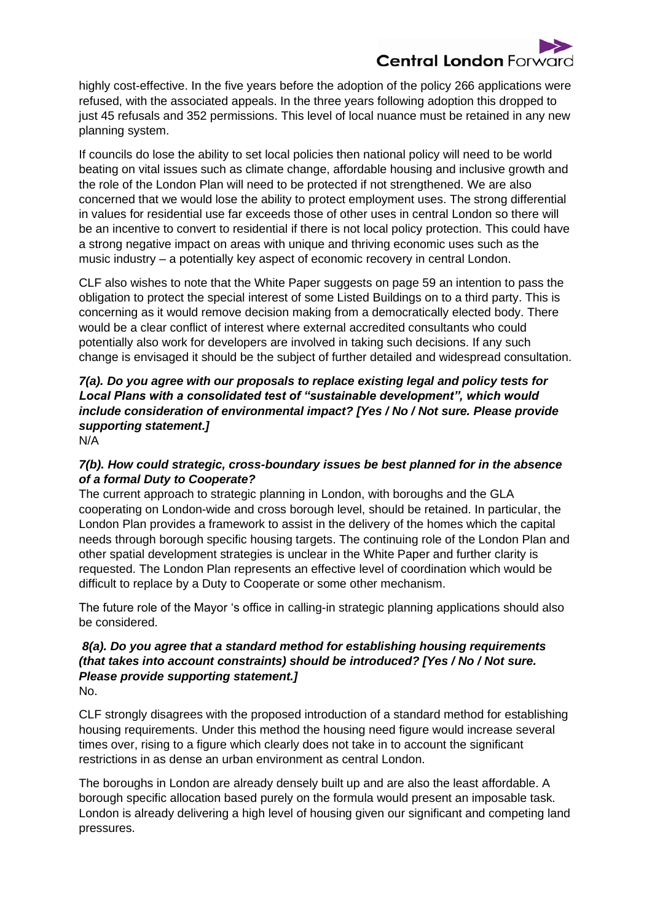

highly cost-effective. In the five years before the adoption of the policy 266 applications were refused, with the associated appeals. In the three years following adoption this dropped to just 45 refusals and 352 permissions. This level of local nuance must be retained in any new planning system.

If councils do lose the ability to set local policies then national policy will need to be world beating on vital issues such as climate change, affordable housing and inclusive growth and the role of the London Plan will need to be protected if not strengthened. We are also concerned that we would lose the ability to protect employment uses. The strong differential in values for residential use far exceeds those of other uses in central London so there will be an incentive to convert to residential if there is not local policy protection. This could have a strong negative impact on areas with unique and thriving economic uses such as the music industry – a potentially key aspect of economic recovery in central London.

CLF also wishes to note that the White Paper suggests on page 59 an intention to pass the obligation to protect the special interest of some Listed Buildings on to a third party. This is concerning as it would remove decision making from a democratically elected body. There would be a clear conflict of interest where external accredited consultants who could potentially also work for developers are involved in taking such decisions. If any such change is envisaged it should be the subject of further detailed and widespread consultation.

# *7(a). Do you agree with our proposals to replace existing legal and policy tests for Local Plans with a consolidated test of "sustainable development", which would include consideration of environmental impact? [Yes / No / Not sure. Please provide supporting statement.]*

N/A

## *7(b). How could strategic, cross-boundary issues be best planned for in the absence of a formal Duty to Cooperate?*

The current approach to strategic planning in London, with boroughs and the GLA cooperating on London-wide and cross borough level, should be retained. In particular, the London Plan provides a framework to assist in the delivery of the homes which the capital needs through borough specific housing targets. The continuing role of the London Plan and other spatial development strategies is unclear in the White Paper and further clarity is requested. The London Plan represents an effective level of coordination which would be difficult to replace by a Duty to Cooperate or some other mechanism.

The future role of the Mayor 's office in calling-in strategic planning applications should also be considered.

#### *8(a). Do you agree that a standard method for establishing housing requirements (that takes into account constraints) should be introduced? [Yes / No / Not sure. Please provide supporting statement.]*  No.

CLF strongly disagrees with the proposed introduction of a standard method for establishing housing requirements. Under this method the housing need figure would increase several times over, rising to a figure which clearly does not take in to account the significant restrictions in as dense an urban environment as central London.

The boroughs in London are already densely built up and are also the least affordable. A borough specific allocation based purely on the formula would present an imposable task. London is already delivering a high level of housing given our significant and competing land pressures.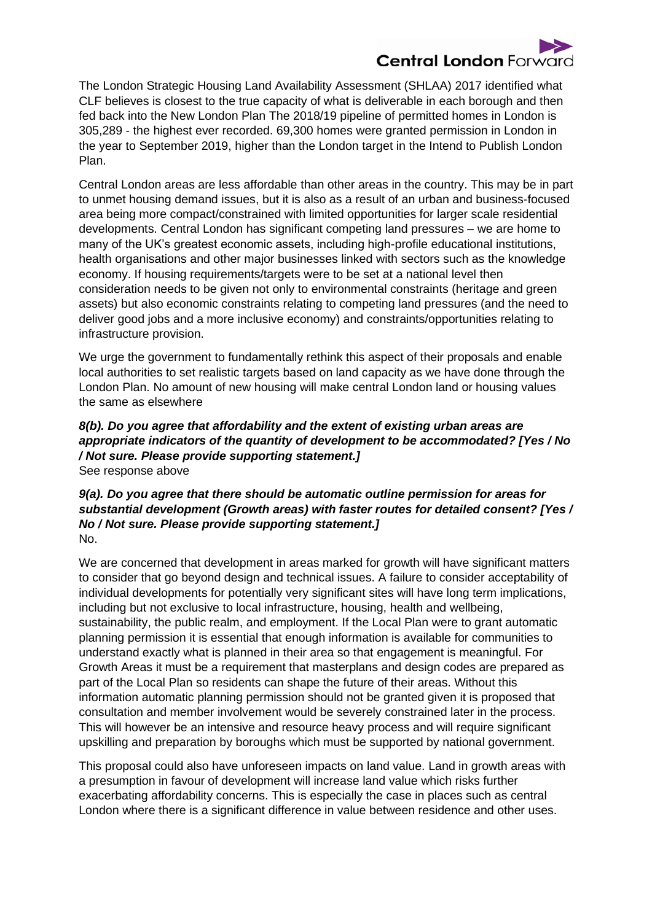# **Central London Forwar**

The London Strategic Housing Land Availability Assessment (SHLAA) 2017 identified what CLF believes is closest to the true capacity of what is deliverable in each borough and then fed back into the New London Plan The 2018/19 pipeline of permitted homes in London is 305,289 - the highest ever recorded. 69,300 homes were granted permission in London in the year to September 2019, higher than the London target in the Intend to Publish London Plan.

Central London areas are less affordable than other areas in the country. This may be in part to unmet housing demand issues, but it is also as a result of an urban and business-focused area being more compact/constrained with limited opportunities for larger scale residential developments. Central London has significant competing land pressures – we are home to many of the UK's greatest economic assets, including high-profile educational institutions, health organisations and other major businesses linked with sectors such as the knowledge economy. If housing requirements/targets were to be set at a national level then consideration needs to be given not only to environmental constraints (heritage and green assets) but also economic constraints relating to competing land pressures (and the need to deliver good jobs and a more inclusive economy) and constraints/opportunities relating to infrastructure provision.

We urge the government to fundamentally rethink this aspect of their proposals and enable local authorities to set realistic targets based on land capacity as we have done through the London Plan. No amount of new housing will make central London land or housing values the same as elsewhere

#### *8(b). Do you agree that affordability and the extent of existing urban areas are appropriate indicators of the quantity of development to be accommodated? [Yes / No / Not sure. Please provide supporting statement.]* See response above

#### *9(a). Do you agree that there should be automatic outline permission for areas for substantial development (Growth areas) with faster routes for detailed consent? [Yes / No / Not sure. Please provide supporting statement.]*  No.

We are concerned that development in areas marked for growth will have significant matters to consider that go beyond design and technical issues. A failure to consider acceptability of individual developments for potentially very significant sites will have long term implications, including but not exclusive to local infrastructure, housing, health and wellbeing, sustainability, the public realm, and employment. If the Local Plan were to grant automatic planning permission it is essential that enough information is available for communities to understand exactly what is planned in their area so that engagement is meaningful. For Growth Areas it must be a requirement that masterplans and design codes are prepared as part of the Local Plan so residents can shape the future of their areas. Without this information automatic planning permission should not be granted given it is proposed that consultation and member involvement would be severely constrained later in the process. This will however be an intensive and resource heavy process and will require significant upskilling and preparation by boroughs which must be supported by national government.

This proposal could also have unforeseen impacts on land value. Land in growth areas with a presumption in favour of development will increase land value which risks further exacerbating affordability concerns. This is especially the case in places such as central London where there is a significant difference in value between residence and other uses.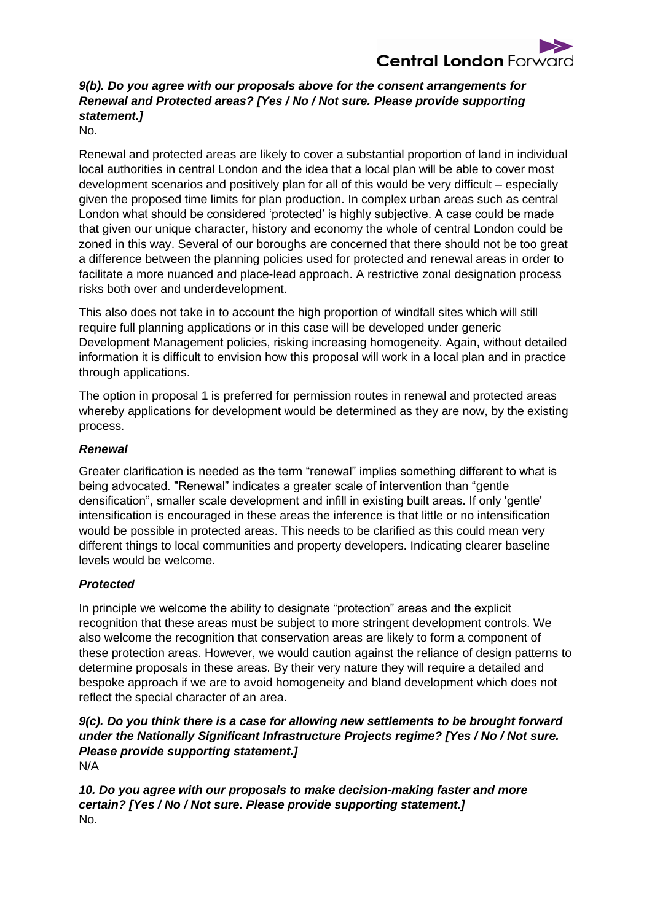

## *9(b). Do you agree with our proposals above for the consent arrangements for Renewal and Protected areas? [Yes / No / Not sure. Please provide supporting statement.]*

No.

Renewal and protected areas are likely to cover a substantial proportion of land in individual local authorities in central London and the idea that a local plan will be able to cover most development scenarios and positively plan for all of this would be very difficult – especially given the proposed time limits for plan production. In complex urban areas such as central London what should be considered 'protected' is highly subjective. A case could be made that given our unique character, history and economy the whole of central London could be zoned in this way. Several of our boroughs are concerned that there should not be too great a difference between the planning policies used for protected and renewal areas in order to facilitate a more nuanced and place-lead approach. A restrictive zonal designation process risks both over and underdevelopment.

This also does not take in to account the high proportion of windfall sites which will still require full planning applications or in this case will be developed under generic Development Management policies, risking increasing homogeneity. Again, without detailed information it is difficult to envision how this proposal will work in a local plan and in practice through applications.

The option in proposal 1 is preferred for permission routes in renewal and protected areas whereby applications for development would be determined as they are now, by the existing process.

#### *Renewal*

Greater clarification is needed as the term "renewal" implies something different to what is being advocated. "Renewal" indicates a greater scale of intervention than "gentle densification", smaller scale development and infill in existing built areas. If only 'gentle' intensification is encouraged in these areas the inference is that little or no intensification would be possible in protected areas. This needs to be clarified as this could mean very different things to local communities and property developers. Indicating clearer baseline levels would be welcome.

#### *Protected*

In principle we welcome the ability to designate "protection" areas and the explicit recognition that these areas must be subject to more stringent development controls. We also welcome the recognition that conservation areas are likely to form a component of these protection areas. However, we would caution against the reliance of design patterns to determine proposals in these areas. By their very nature they will require a detailed and bespoke approach if we are to avoid homogeneity and bland development which does not reflect the special character of an area.

#### *9(c). Do you think there is a case for allowing new settlements to be brought forward under the Nationally Significant Infrastructure Projects regime? [Yes / No / Not sure. Please provide supporting statement.]* N/A

*10. Do you agree with our proposals to make decision-making faster and more certain? [Yes / No / Not sure. Please provide supporting statement.]* No.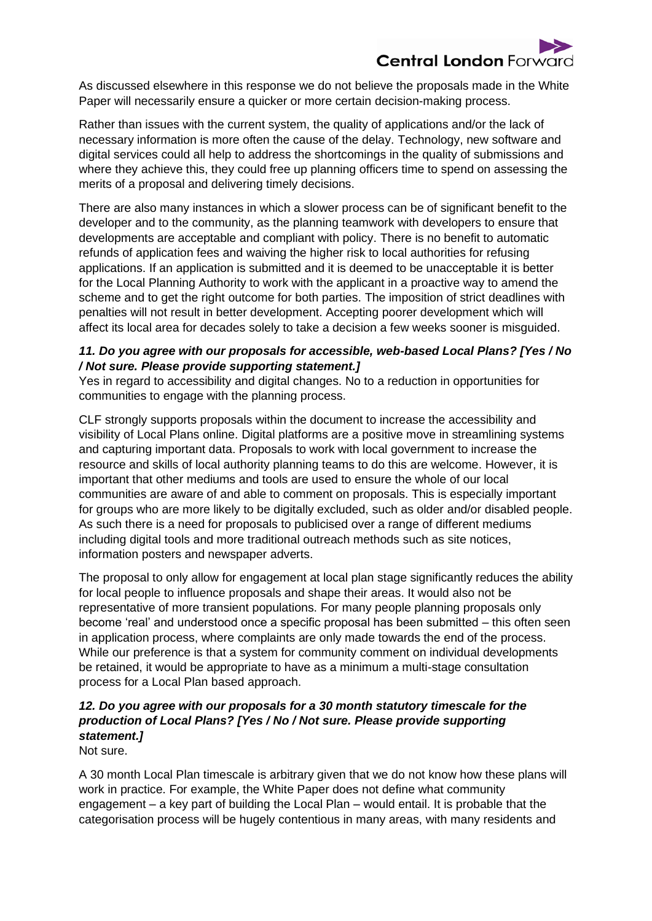

As discussed elsewhere in this response we do not believe the proposals made in the White Paper will necessarily ensure a quicker or more certain decision-making process.

Rather than issues with the current system, the quality of applications and/or the lack of necessary information is more often the cause of the delay. Technology, new software and digital services could all help to address the shortcomings in the quality of submissions and where they achieve this, they could free up planning officers time to spend on assessing the merits of a proposal and delivering timely decisions.

There are also many instances in which a slower process can be of significant benefit to the developer and to the community, as the planning teamwork with developers to ensure that developments are acceptable and compliant with policy. There is no benefit to automatic refunds of application fees and waiving the higher risk to local authorities for refusing applications. If an application is submitted and it is deemed to be unacceptable it is better for the Local Planning Authority to work with the applicant in a proactive way to amend the scheme and to get the right outcome for both parties. The imposition of strict deadlines with penalties will not result in better development. Accepting poorer development which will affect its local area for decades solely to take a decision a few weeks sooner is misguided.

#### *11. Do you agree with our proposals for accessible, web-based Local Plans? [Yes / No / Not sure. Please provide supporting statement.]*

Yes in regard to accessibility and digital changes. No to a reduction in opportunities for communities to engage with the planning process.

CLF strongly supports proposals within the document to increase the accessibility and visibility of Local Plans online. Digital platforms are a positive move in streamlining systems and capturing important data. Proposals to work with local government to increase the resource and skills of local authority planning teams to do this are welcome. However, it is important that other mediums and tools are used to ensure the whole of our local communities are aware of and able to comment on proposals. This is especially important for groups who are more likely to be digitally excluded, such as older and/or disabled people. As such there is a need for proposals to publicised over a range of different mediums including digital tools and more traditional outreach methods such as site notices, information posters and newspaper adverts.

The proposal to only allow for engagement at local plan stage significantly reduces the ability for local people to influence proposals and shape their areas. It would also not be representative of more transient populations. For many people planning proposals only become 'real' and understood once a specific proposal has been submitted – this often seen in application process, where complaints are only made towards the end of the process. While our preference is that a system for community comment on individual developments be retained, it would be appropriate to have as a minimum a multi-stage consultation process for a Local Plan based approach.

## *12. Do you agree with our proposals for a 30 month statutory timescale for the production of Local Plans? [Yes / No / Not sure. Please provide supporting statement.]*

Not sure.

A 30 month Local Plan timescale is arbitrary given that we do not know how these plans will work in practice. For example, the White Paper does not define what community engagement – a key part of building the Local Plan – would entail. It is probable that the categorisation process will be hugely contentious in many areas, with many residents and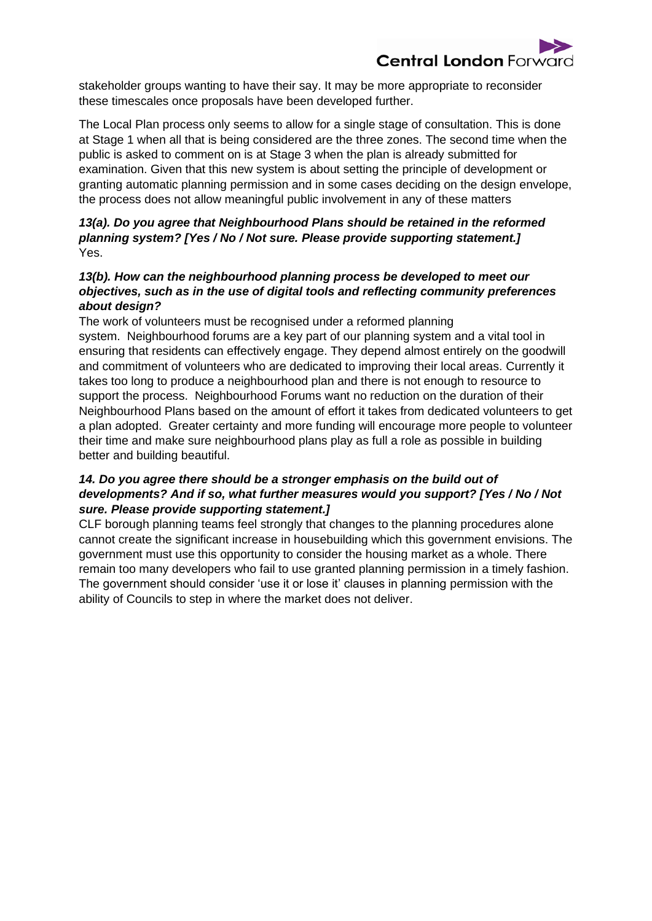

stakeholder groups wanting to have their say. It may be more appropriate to reconsider these timescales once proposals have been developed further.

The Local Plan process only seems to allow for a single stage of consultation. This is done at Stage 1 when all that is being considered are the three zones. The second time when the public is asked to comment on is at Stage 3 when the plan is already submitted for examination. Given that this new system is about setting the principle of development or granting automatic planning permission and in some cases deciding on the design envelope, the process does not allow meaningful public involvement in any of these matters

#### *13(a). Do you agree that Neighbourhood Plans should be retained in the reformed planning system? [Yes / No / Not sure. Please provide supporting statement.]*  Yes.

#### *13(b). How can the neighbourhood planning process be developed to meet our objectives, such as in the use of digital tools and reflecting community preferences about design?*

The work of volunteers must be recognised under a reformed planning system. Neighbourhood forums are a key part of our planning system and a vital tool in ensuring that residents can effectively engage. They depend almost entirely on the goodwill and commitment of volunteers who are dedicated to improving their local areas. Currently it takes too long to produce a neighbourhood plan and there is not enough to resource to support the process. Neighbourhood Forums want no reduction on the duration of their Neighbourhood Plans based on the amount of effort it takes from dedicated volunteers to get a plan adopted. Greater certainty and more funding will encourage more people to volunteer their time and make sure neighbourhood plans play as full a role as possible in building better and building beautiful.

#### *14. Do you agree there should be a stronger emphasis on the build out of developments? And if so, what further measures would you support? [Yes / No / Not sure. Please provide supporting statement.]*

CLF borough planning teams feel strongly that changes to the planning procedures alone cannot create the significant increase in housebuilding which this government envisions. The government must use this opportunity to consider the housing market as a whole. There remain too many developers who fail to use granted planning permission in a timely fashion. The government should consider 'use it or lose it' clauses in planning permission with the ability of Councils to step in where the market does not deliver.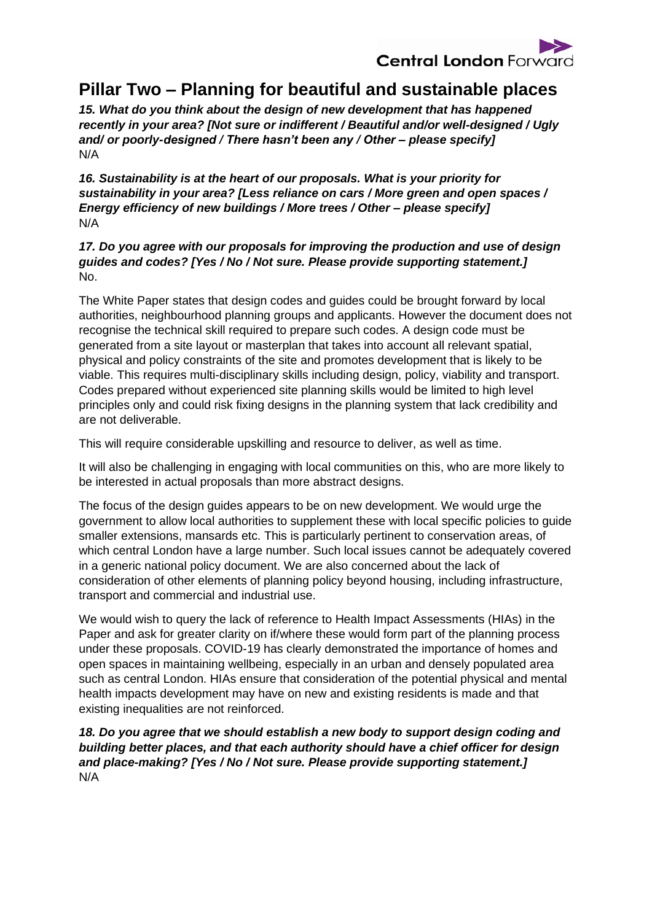

# **Pillar Two – Planning for beautiful and sustainable places**

*15. What do you think about the design of new development that has happened recently in your area? [Not sure or indifferent / Beautiful and/or well-designed / Ugly and/ or poorly-designed / There hasn't been any / Other – please specify]*  N/A

*16. Sustainability is at the heart of our proposals. What is your priority for sustainability in your area? [Less reliance on cars / More green and open spaces / Energy efficiency of new buildings / More trees / Other – please specify]* N/A

#### *17. Do you agree with our proposals for improving the production and use of design guides and codes? [Yes / No / Not sure. Please provide supporting statement.]* No.

The White Paper states that design codes and guides could be brought forward by local authorities, neighbourhood planning groups and applicants. However the document does not recognise the technical skill required to prepare such codes. A design code must be generated from a site layout or masterplan that takes into account all relevant spatial, physical and policy constraints of the site and promotes development that is likely to be viable. This requires multi-disciplinary skills including design, policy, viability and transport. Codes prepared without experienced site planning skills would be limited to high level principles only and could risk fixing designs in the planning system that lack credibility and are not deliverable.

This will require considerable upskilling and resource to deliver, as well as time.

It will also be challenging in engaging with local communities on this, who are more likely to be interested in actual proposals than more abstract designs.

The focus of the design guides appears to be on new development. We would urge the government to allow local authorities to supplement these with local specific policies to guide smaller extensions, mansards etc. This is particularly pertinent to conservation areas, of which central London have a large number. Such local issues cannot be adequately covered in a generic national policy document. We are also concerned about the lack of consideration of other elements of planning policy beyond housing, including infrastructure, transport and commercial and industrial use.

We would wish to query the lack of reference to Health Impact Assessments (HIAs) in the Paper and ask for greater clarity on if/where these would form part of the planning process under these proposals. COVID-19 has clearly demonstrated the importance of homes and open spaces in maintaining wellbeing, especially in an urban and densely populated area such as central London. HIAs ensure that consideration of the potential physical and mental health impacts development may have on new and existing residents is made and that existing inequalities are not reinforced.

## 18. Do you agree that we should establish a new body to support design coding and *building better places, and that each authority should have a chief officer for design and place-making? [Yes / No / Not sure. Please provide supporting statement.]* N/A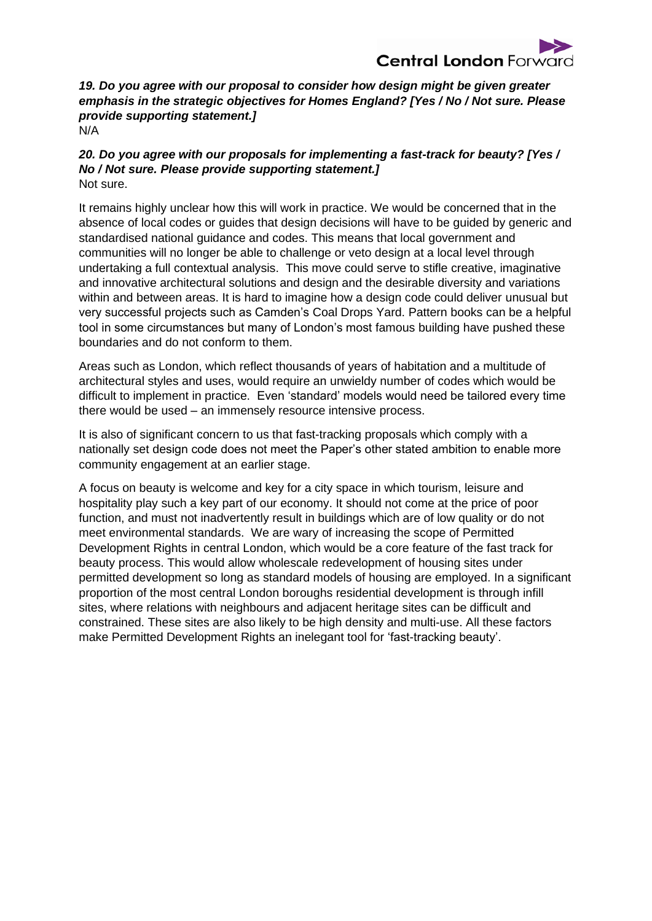

*19. Do you agree with our proposal to consider how design might be given greater emphasis in the strategic objectives for Homes England? [Yes / No / Not sure. Please provide supporting statement.]* N/A

*20. Do you agree with our proposals for implementing a fast-track for beauty? [Yes / No / Not sure. Please provide supporting statement.]*

Not sure.

It remains highly unclear how this will work in practice. We would be concerned that in the absence of local codes or guides that design decisions will have to be guided by generic and standardised national guidance and codes. This means that local government and communities will no longer be able to challenge or veto design at a local level through undertaking a full contextual analysis. This move could serve to stifle creative, imaginative and innovative architectural solutions and design and the desirable diversity and variations within and between areas. It is hard to imagine how a design code could deliver unusual but very successful projects such as Camden's Coal Drops Yard. Pattern books can be a helpful tool in some circumstances but many of London's most famous building have pushed these boundaries and do not conform to them.

Areas such as London, which reflect thousands of years of habitation and a multitude of architectural styles and uses, would require an unwieldy number of codes which would be difficult to implement in practice. Even 'standard' models would need be tailored every time there would be used – an immensely resource intensive process.

It is also of significant concern to us that fast-tracking proposals which comply with a nationally set design code does not meet the Paper's other stated ambition to enable more community engagement at an earlier stage.

A focus on beauty is welcome and key for a city space in which tourism, leisure and hospitality play such a key part of our economy. It should not come at the price of poor function, and must not inadvertently result in buildings which are of low quality or do not meet environmental standards. We are wary of increasing the scope of Permitted Development Rights in central London, which would be a core feature of the fast track for beauty process. This would allow wholescale redevelopment of housing sites under permitted development so long as standard models of housing are employed. In a significant proportion of the most central London boroughs residential development is through infill sites, where relations with neighbours and adjacent heritage sites can be difficult and constrained. These sites are also likely to be high density and multi-use. All these factors make Permitted Development Rights an inelegant tool for 'fast-tracking beauty'.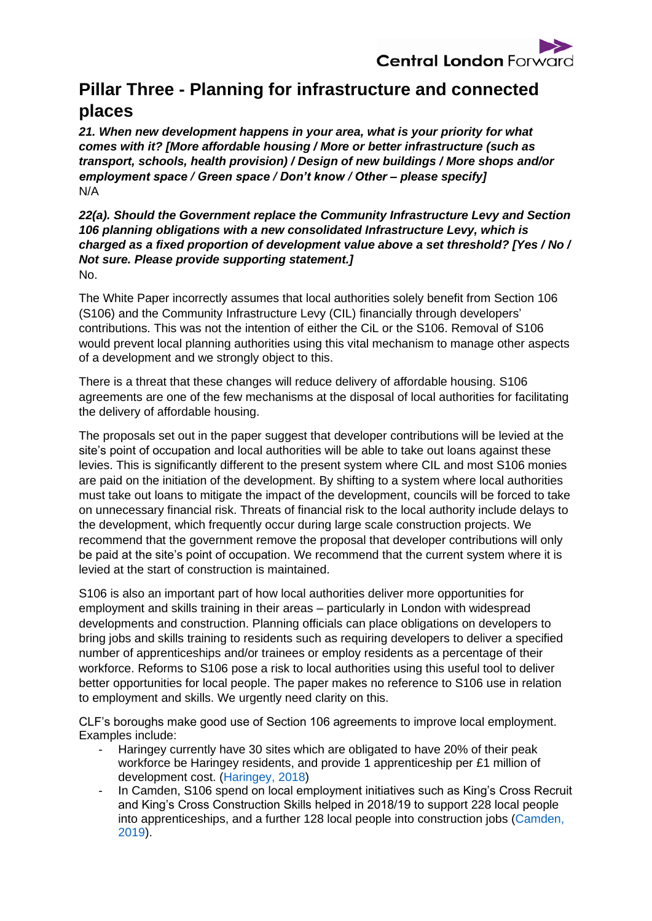

# **Pillar Three - Planning for infrastructure and connected places**

*21. When new development happens in your area, what is your priority for what comes with it? [More affordable housing / More or better infrastructure (such as transport, schools, health provision) / Design of new buildings / More shops and/or employment space / Green space / Don't know / Other – please specify]* N/A

*22(a). Should the Government replace the Community Infrastructure Levy and Section 106 planning obligations with a new consolidated Infrastructure Levy, which is charged as a fixed proportion of development value above a set threshold? [Yes / No / Not sure. Please provide supporting statement.]*  No.

The White Paper incorrectly assumes that local authorities solely benefit from Section 106 (S106) and the Community Infrastructure Levy (CIL) financially through developers' contributions. This was not the intention of either the CiL or the S106. Removal of S106 would prevent local planning authorities using this vital mechanism to manage other aspects of a development and we strongly object to this.

There is a threat that these changes will reduce delivery of affordable housing. S106 agreements are one of the few mechanisms at the disposal of local authorities for facilitating the delivery of affordable housing.

The proposals set out in the paper suggest that developer contributions will be levied at the site's point of occupation and local authorities will be able to take out loans against these levies. This is significantly different to the present system where CIL and most S106 monies are paid on the initiation of the development. By shifting to a system where local authorities must take out loans to mitigate the impact of the development, councils will be forced to take on unnecessary financial risk. Threats of financial risk to the local authority include delays to the development, which frequently occur during large scale construction projects. We recommend that the government remove the proposal that developer contributions will only be paid at the site's point of occupation. We recommend that the current system where it is levied at the start of construction is maintained.

S106 is also an important part of how local authorities deliver more opportunities for employment and skills training in their areas – particularly in London with widespread developments and construction. Planning officials can place obligations on developers to bring jobs and skills training to residents such as requiring developers to deliver a specified number of apprenticeships and/or trainees or employ residents as a percentage of their workforce. Reforms to S106 pose a risk to local authorities using this useful tool to deliver better opportunities for local people. The paper makes no reference to S106 use in relation to employment and skills. We urgently need clarity on this.

CLF's boroughs make good use of Section 106 agreements to improve local employment. Examples include:

- Haringey currently have 30 sites which are obligated to have 20% of their peak workforce be Haringey residents, and provide 1 apprenticeship per £1 million of development cost. [\(Haringey, 2018\)](https://www.haringey.gov.uk/sites/haringeygovuk/files/final_planning_obligations_spd_2018.pdf)
- In Camden, S106 spend on local employment initiatives such as King's Cross Recruit and King's Cross Construction Skills helped in 2018/19 to support 228 local people into apprenticeships, and a further 128 local people into construction jobs [\(Camden,](https://www.camden.gov.uk/documents/20142/1267630/Appendix+1.+CIL+and+Section+106+Annual+Report+2018-19+%28final+combined+-+Scrutiny+version%29.pdf/0bb34a3b-2188-38c6-20d9-98d7446d39dc)  [2019\)](https://www.camden.gov.uk/documents/20142/1267630/Appendix+1.+CIL+and+Section+106+Annual+Report+2018-19+%28final+combined+-+Scrutiny+version%29.pdf/0bb34a3b-2188-38c6-20d9-98d7446d39dc).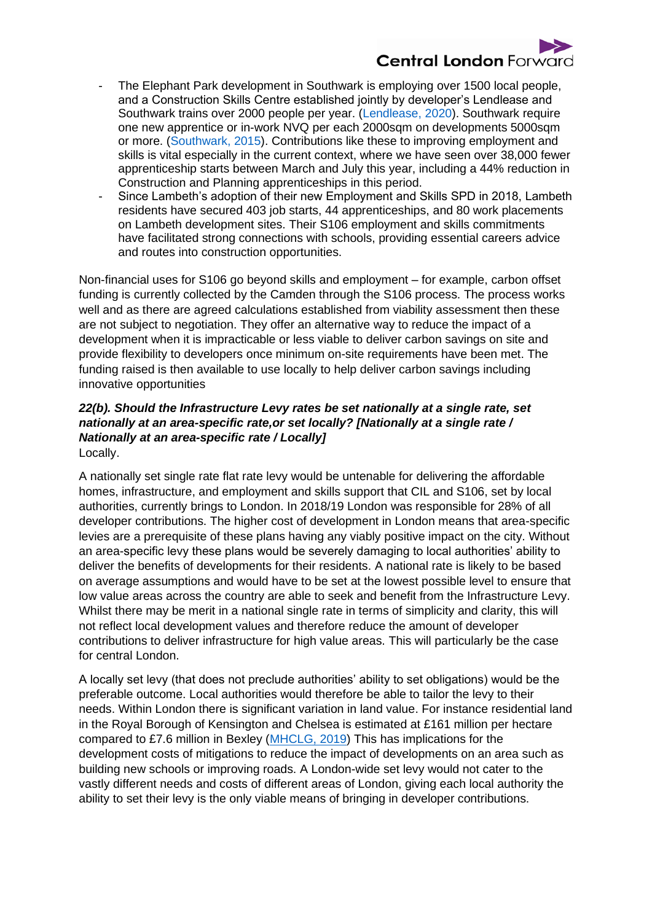

- The Elephant Park development in Southwark is employing over 1500 local people, and a Construction Skills Centre established jointly by developer's Lendlease and Southwark trains over 2000 people per year. [\(Lendlease, 2020\)](https://www.lendlease.com/uk/media-centre/media-releases/over-1500-local-people-now-working-at-elephant-park/). Southwark require one new apprentice or in-work NVQ per each 2000sqm on developments 5000sqm or more. [\(Southwark, 2015\)](https://www.southwark.gov.uk/assets/attach/14555/EIP49-Section-106-Planning-and-CIL-SPD-2015-.pdf). Contributions like these to improving employment and skills is vital especially in the current context, where we have seen over 38,000 fewer apprenticeship starts between March and July this year, including a 44% reduction in Construction and Planning apprenticeships in this period.
- Since Lambeth's adoption of their new Employment and Skills SPD in 2018, Lambeth residents have secured 403 job starts, 44 apprenticeships, and 80 work placements on Lambeth development sites. Their S106 employment and skills commitments have facilitated strong connections with schools, providing essential careers advice and routes into construction opportunities.

Non-financial uses for S106 go beyond skills and employment – for example, carbon offset funding is currently collected by the Camden through the S106 process. The process works well and as there are agreed calculations established from viability assessment then these are not subject to negotiation. They offer an alternative way to reduce the impact of a development when it is impracticable or less viable to deliver carbon savings on site and provide flexibility to developers once minimum on-site requirements have been met. The funding raised is then available to use locally to help deliver carbon savings including innovative opportunities

#### *22(b). Should the Infrastructure Levy rates be set nationally at a single rate, set nationally at an area-specific rate,or set locally? [Nationally at a single rate / Nationally at an area-specific rate / Locally]*  Locally.

A nationally set single rate flat rate levy would be untenable for delivering the affordable homes, infrastructure, and employment and skills support that CIL and S106, set by local authorities, currently brings to London. In 2018/19 London was responsible for 28% of all developer contributions. The higher cost of development in London means that area-specific levies are a prerequisite of these plans having any viably positive impact on the city. Without an area-specific levy these plans would be severely damaging to local authorities' ability to deliver the benefits of developments for their residents. A national rate is likely to be based on average assumptions and would have to be set at the lowest possible level to ensure that low value areas across the country are able to seek and benefit from the Infrastructure Levy. Whilst there may be merit in a national single rate in terms of simplicity and clarity, this will not reflect local development values and therefore reduce the amount of developer contributions to deliver infrastructure for high value areas. This will particularly be the case for central London.

A locally set levy (that does not preclude authorities' ability to set obligations) would be the preferable outcome. Local authorities would therefore be able to tailor the levy to their needs. Within London there is significant variation in land value. For instance residential land in the Royal Borough of Kensington and Chelsea is estimated at £161 million per hectare compared to £7.6 million in Bexley [\(MHCLG, 2019\)](https://www.gov.uk/government/publications/land-value-estimates-for-policy-appraisal-2019) This has implications for the development costs of mitigations to reduce the impact of developments on an area such as building new schools or improving roads. A London-wide set levy would not cater to the vastly different needs and costs of different areas of London, giving each local authority the ability to set their levy is the only viable means of bringing in developer contributions.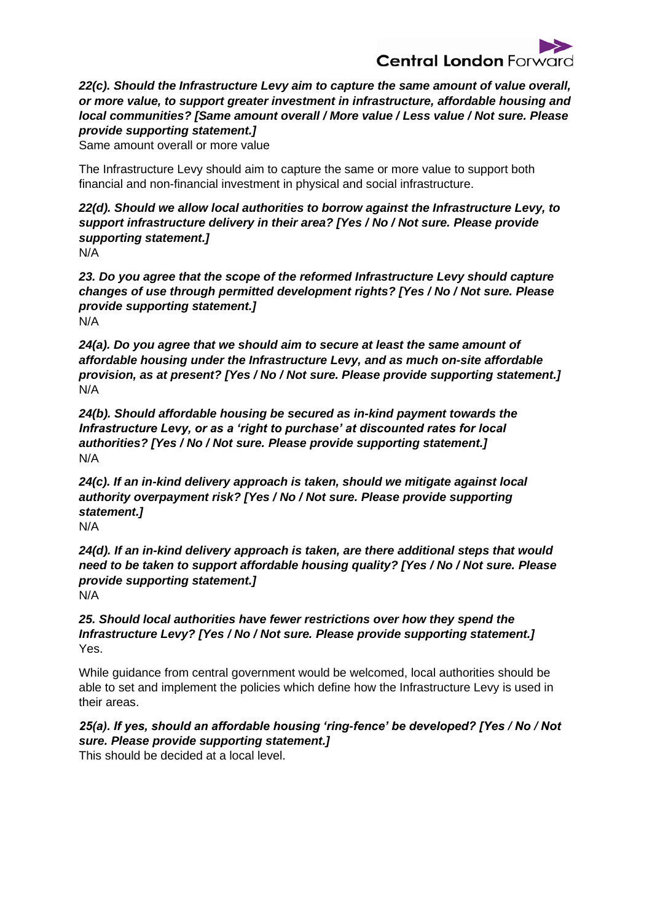

*22(c). Should the Infrastructure Levy aim to capture the same amount of value overall, or more value, to support greater investment in infrastructure, affordable housing and local communities? [Same amount overall / More value / Less value / Not sure. Please provide supporting statement.]* 

Same amount overall or more value

The Infrastructure Levy should aim to capture the same or more value to support both financial and non-financial investment in physical and social infrastructure.

*22(d). Should we allow local authorities to borrow against the Infrastructure Levy, to support infrastructure delivery in their area? [Yes / No / Not sure. Please provide supporting statement.]* N/A

*23. Do you agree that the scope of the reformed Infrastructure Levy should capture changes of use through permitted development rights? [Yes / No / Not sure. Please provide supporting statement.]* N/A

*24(a). Do you agree that we should aim to secure at least the same amount of affordable housing under the Infrastructure Levy, and as much on-site affordable provision, as at present? [Yes / No / Not sure. Please provide supporting statement.]*  N/A

*24(b). Should affordable housing be secured as in-kind payment towards the Infrastructure Levy, or as a 'right to purchase' at discounted rates for local authorities? [Yes / No / Not sure. Please provide supporting statement.]* N/A

*24(c). If an in-kind delivery approach is taken, should we mitigate against local authority overpayment risk? [Yes / No / Not sure. Please provide supporting statement.]*  N/A

*24(d). If an in-kind delivery approach is taken, are there additional steps that would need to be taken to support affordable housing quality? [Yes / No / Not sure. Please provide supporting statement.]* N/A

*25. Should local authorities have fewer restrictions over how they spend the Infrastructure Levy? [Yes / No / Not sure. Please provide supporting statement.]*  Yes.

While guidance from central government would be welcomed, local authorities should be able to set and implement the policies which define how the Infrastructure Levy is used in their areas.

# *25(a). If yes, should an affordable housing 'ring-fence' be developed? [Yes / No / Not sure. Please provide supporting statement.]*

This should be decided at a local level.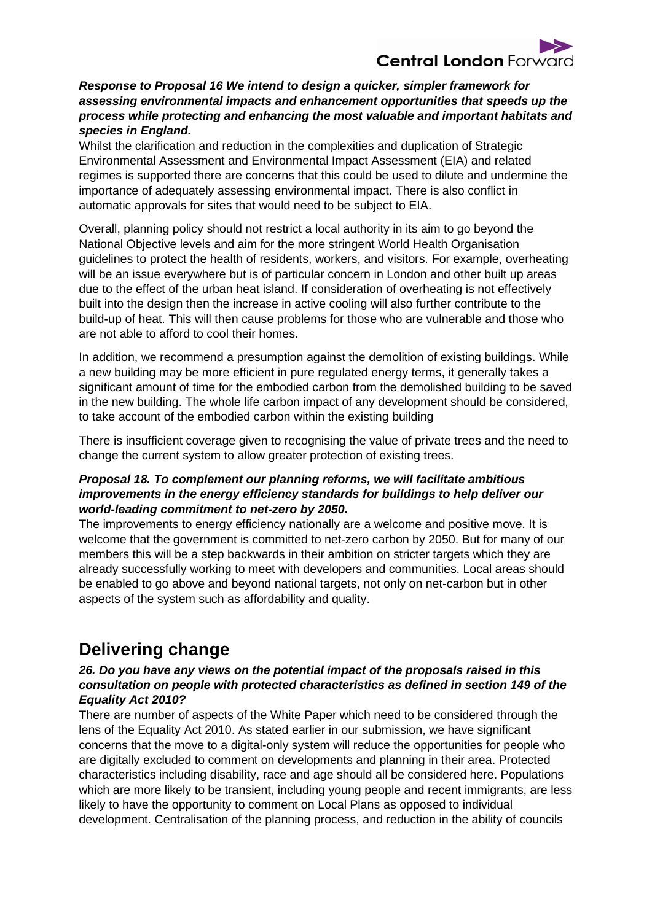

#### *Response to Proposal 16 We intend to design a quicker, simpler framework for assessing environmental impacts and enhancement opportunities that speeds up the process while protecting and enhancing the most valuable and important habitats and species in England.*

Whilst the clarification and reduction in the complexities and duplication of Strategic Environmental Assessment and Environmental Impact Assessment (EIA) and related regimes is supported there are concerns that this could be used to dilute and undermine the importance of adequately assessing environmental impact. There is also conflict in automatic approvals for sites that would need to be subject to EIA.

Overall, planning policy should not restrict a local authority in its aim to go beyond the National Objective levels and aim for the more stringent World Health Organisation guidelines to protect the health of residents, workers, and visitors. For example, overheating will be an issue everywhere but is of particular concern in London and other built up areas due to the effect of the urban heat island. If consideration of overheating is not effectively built into the design then the increase in active cooling will also further contribute to the build-up of heat. This will then cause problems for those who are vulnerable and those who are not able to afford to cool their homes.

In addition, we recommend a presumption against the demolition of existing buildings. While a new building may be more efficient in pure regulated energy terms, it generally takes a significant amount of time for the embodied carbon from the demolished building to be saved in the new building. The whole life carbon impact of any development should be considered, to take account of the embodied carbon within the existing building

There is insufficient coverage given to recognising the value of private trees and the need to change the current system to allow greater protection of existing trees.

#### *Proposal 18. To complement our planning reforms, we will facilitate ambitious improvements in the energy efficiency standards for buildings to help deliver our world-leading commitment to net-zero by 2050.*

The improvements to energy efficiency nationally are a welcome and positive move. It is welcome that the government is committed to net-zero carbon by 2050. But for many of our members this will be a step backwards in their ambition on stricter targets which they are already successfully working to meet with developers and communities. Local areas should be enabled to go above and beyond national targets, not only on net-carbon but in other aspects of the system such as affordability and quality.

# **Delivering change**

#### *26. Do you have any views on the potential impact of the proposals raised in this consultation on people with protected characteristics as defined in section 149 of the Equality Act 2010?*

There are number of aspects of the White Paper which need to be considered through the lens of the Equality Act 2010. As stated earlier in our submission, we have significant concerns that the move to a digital-only system will reduce the opportunities for people who are digitally excluded to comment on developments and planning in their area. Protected characteristics including disability, race and age should all be considered here. Populations which are more likely to be transient, including young people and recent immigrants, are less likely to have the opportunity to comment on Local Plans as opposed to individual development. Centralisation of the planning process, and reduction in the ability of councils